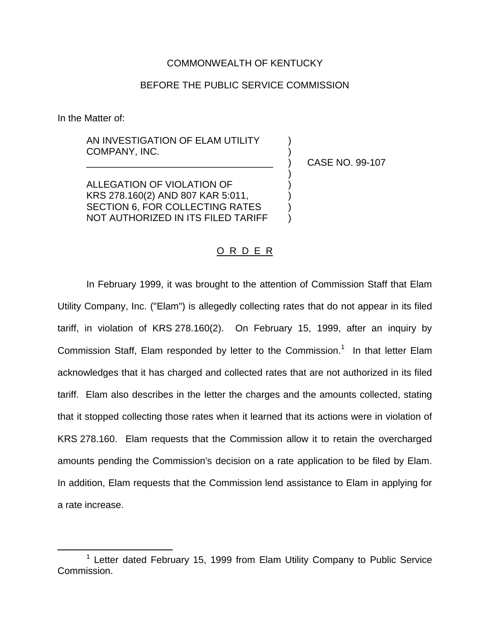## COMMONWEALTH OF KENTUCKY

## BEFORE THE PUBLIC SERVICE COMMISSION

In the Matter of:

AN INVESTIGATION OF ELAM UTILITY COMPANY, INC.

\_\_\_\_\_\_\_\_\_\_\_\_\_\_\_\_\_\_\_\_\_\_\_\_\_\_\_\_\_\_\_\_\_\_\_ ) CASE NO. 99-107

)

ALLEGATION OF VIOLATION OF ) KRS 278.160(2) AND 807 KAR 5:011, ) SECTION 6, FOR COLLECTING RATES NOT AUTHORIZED IN ITS FILED TARIFF )

## O R D E R

In February 1999, it was brought to the attention of Commission Staff that Elam Utility Company, Inc. ("Elam") is allegedly collecting rates that do not appear in its filed tariff, in violation of KRS 278.160(2). On February 15, 1999, after an inquiry by Commission Staff, Elam responded by letter to the Commission.<sup>1</sup> In that letter Elam acknowledges that it has charged and collected rates that are not authorized in its filed tariff. Elam also describes in the letter the charges and the amounts collected, stating that it stopped collecting those rates when it learned that its actions were in violation of KRS 278.160. Elam requests that the Commission allow it to retain the overcharged amounts pending the Commission's decision on a rate application to be filed by Elam. In addition, Elam requests that the Commission lend assistance to Elam in applying for a rate increase.

 $1$  Letter dated February 15, 1999 from Elam Utility Company to Public Service Commission.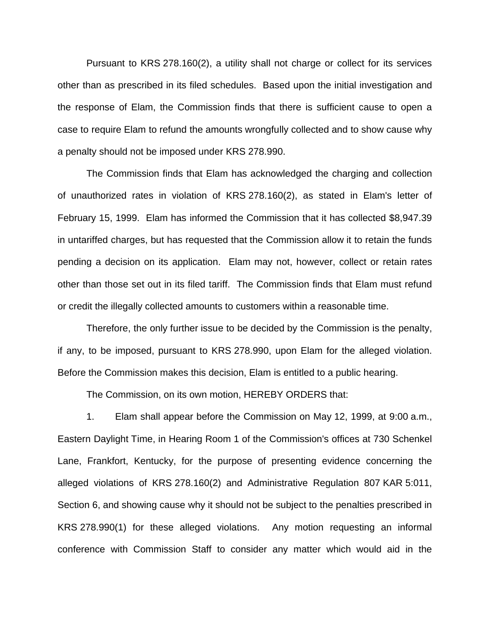Pursuant to KRS 278.160(2), a utility shall not charge or collect for its services other than as prescribed in its filed schedules. Based upon the initial investigation and the response of Elam, the Commission finds that there is sufficient cause to open a case to require Elam to refund the amounts wrongfully collected and to show cause why a penalty should not be imposed under KRS 278.990.

The Commission finds that Elam has acknowledged the charging and collection of unauthorized rates in violation of KRS 278.160(2), as stated in Elam's letter of February 15, 1999. Elam has informed the Commission that it has collected \$8,947.39 in untariffed charges, but has requested that the Commission allow it to retain the funds pending a decision on its application. Elam may not, however, collect or retain rates other than those set out in its filed tariff. The Commission finds that Elam must refund or credit the illegally collected amounts to customers within a reasonable time.

Therefore, the only further issue to be decided by the Commission is the penalty, if any, to be imposed, pursuant to KRS 278.990, upon Elam for the alleged violation. Before the Commission makes this decision, Elam is entitled to a public hearing.

The Commission, on its own motion, HEREBY ORDERS that:

1. Elam shall appear before the Commission on May 12, 1999, at 9:00 a.m., Eastern Daylight Time, in Hearing Room 1 of the Commission's offices at 730 Schenkel Lane, Frankfort, Kentucky, for the purpose of presenting evidence concerning the alleged violations of KRS 278.160(2) and Administrative Regulation 807 KAR 5:011, Section 6, and showing cause why it should not be subject to the penalties prescribed in KRS 278.990(1) for these alleged violations. Any motion requesting an informal conference with Commission Staff to consider any matter which would aid in the